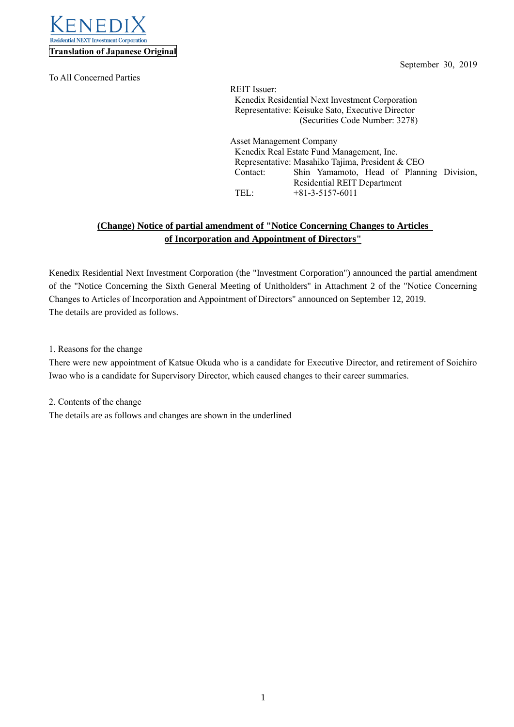

To All Concerned Parties

September 30, 2019

REIT Issuer: Kenedix Residential Next Investment Corporation Representative: Keisuke Sato, Executive Director (Securities Code Number: 3278)

Asset Management Company Kenedix Real Estate Fund Management, Inc. Representative: Masahiko Tajima, President & CEO Contact: Shin Yamamoto, Head of Planning Division, Residential REIT Department TEL: +81-3-5157-6011

## **(Change) Notice of partial amendment of "Notice Concerning Changes to Articles of Incorporation and Appointment of Directors"**

Kenedix Residential Next Investment Corporation (the "Investment Corporation") announced the partial amendment of the "Notice Concerning the Sixth General Meeting of Unitholders" in Attachment 2 of the "Notice Concerning Changes to Articles of Incorporation and Appointment of Directors" announced on September 12, 2019. The details are provided as follows.

1. Reasons for the change

There were new appointment of Katsue Okuda who is a candidate for Executive Director, and retirement of Soichiro Iwao who is a candidate for Supervisory Director, which caused changes to their career summaries.

2. Contents of the change The details are as follows and changes are shown in the underlined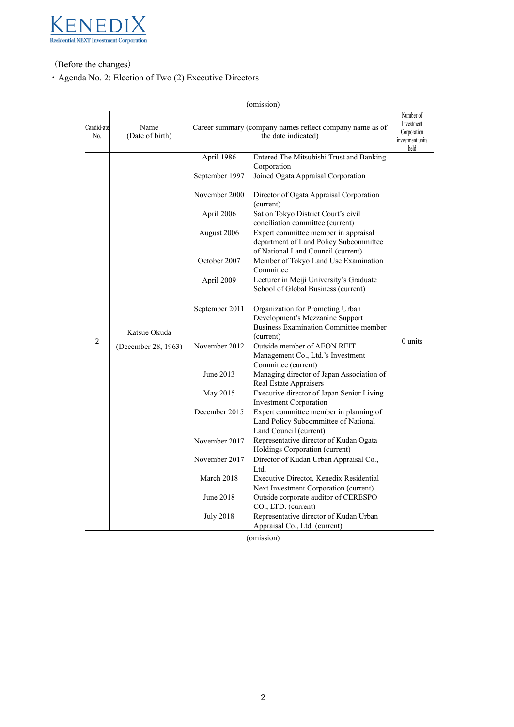

(Before the changes)

・Agenda No. 2: Election of Two (2) Executive Directors

| (omission)        |                                     |                                                                                                                                                                                                                                                                        |                                                                                                                                                                                                                                                                                                                                                                                                                                                                                                                                                                                                                                                                                                                                                                                                                                                                                                                                                                                                                                                                                                                                                                                                                                                                                                                                                      |                                                                    |  |  |
|-------------------|-------------------------------------|------------------------------------------------------------------------------------------------------------------------------------------------------------------------------------------------------------------------------------------------------------------------|------------------------------------------------------------------------------------------------------------------------------------------------------------------------------------------------------------------------------------------------------------------------------------------------------------------------------------------------------------------------------------------------------------------------------------------------------------------------------------------------------------------------------------------------------------------------------------------------------------------------------------------------------------------------------------------------------------------------------------------------------------------------------------------------------------------------------------------------------------------------------------------------------------------------------------------------------------------------------------------------------------------------------------------------------------------------------------------------------------------------------------------------------------------------------------------------------------------------------------------------------------------------------------------------------------------------------------------------------|--------------------------------------------------------------------|--|--|
| Candid-ate<br>No. | Name<br>(Date of birth)             |                                                                                                                                                                                                                                                                        | Career summary (company names reflect company name as of<br>the date indicated)                                                                                                                                                                                                                                                                                                                                                                                                                                                                                                                                                                                                                                                                                                                                                                                                                                                                                                                                                                                                                                                                                                                                                                                                                                                                      | Number of<br>Investment<br>Corporation<br>investment units<br>held |  |  |
| 2                 | Katsue Okuda<br>(December 28, 1963) | April 1986<br>September 1997<br>November 2000<br>April 2006<br>August 2006<br>October 2007<br>April 2009<br>September 2011<br>November 2012<br>June 2013<br>May 2015<br>December 2015<br>November 2017<br>November 2017<br>March 2018<br>June 2018<br><b>July 2018</b> | Entered The Mitsubishi Trust and Banking<br>Corporation<br>Joined Ogata Appraisal Corporation<br>Director of Ogata Appraisal Corporation<br>(current)<br>Sat on Tokyo District Court's civil<br>conciliation committee (current)<br>Expert committee member in appraisal<br>department of Land Policy Subcommittee<br>of National Land Council (current)<br>Member of Tokyo Land Use Examination<br>Committee<br>Lecturer in Meiji University's Graduate<br>School of Global Business (current)<br>Organization for Promoting Urban<br>Development's Mezzanine Support<br>Business Examination Committee member<br>(current)<br>Outside member of AEON REIT<br>Management Co., Ltd.'s Investment<br>Committee (current)<br>Managing director of Japan Association of<br>Real Estate Appraisers<br>Executive director of Japan Senior Living<br><b>Investment Corporation</b><br>Expert committee member in planning of<br>Land Policy Subcommittee of National<br>Land Council (current)<br>Representative director of Kudan Ogata<br>Holdings Corporation (current)<br>Director of Kudan Urban Appraisal Co.,<br>Ltd.<br>Executive Director, Kenedix Residential<br>Next Investment Corporation (current)<br>Outside corporate auditor of CERESPO<br>CO., LTD. (current)<br>Representative director of Kudan Urban<br>Appraisal Co., Ltd. (current) | $0$ units                                                          |  |  |

(omission)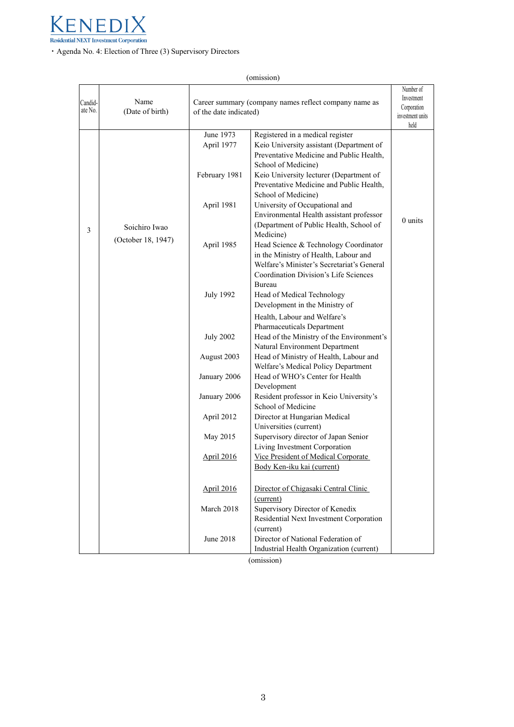

・Agenda No. 4: Election of Three (3) Supervisory Directors

|                    |                         |                                                                                 | (omission)                                                                                                                                                                                                                                                    |                                                                    |
|--------------------|-------------------------|---------------------------------------------------------------------------------|---------------------------------------------------------------------------------------------------------------------------------------------------------------------------------------------------------------------------------------------------------------|--------------------------------------------------------------------|
| Candid-<br>ate No. | Name<br>(Date of birth) | Career summary (company names reflect company name as<br>of the date indicated) |                                                                                                                                                                                                                                                               | Number of<br>Investment<br>Corporation<br>investment units<br>held |
|                    |                         | June 1973<br>April 1977<br>February 1981                                        | Registered in a medical register<br>Keio University assistant (Department of<br>Preventative Medicine and Public Health,<br>School of Medicine)<br>Keio University lecturer (Department of<br>Preventative Medicine and Public Health,<br>School of Medicine) |                                                                    |
| 3                  | Soichiro Iwao           | April 1981                                                                      | University of Occupational and<br>Environmental Health assistant professor<br>(Department of Public Health, School of<br>Medicine)                                                                                                                            | $0$ units                                                          |
|                    | (October 18, 1947)      | April 1985                                                                      | Head Science & Technology Coordinator<br>in the Ministry of Health, Labour and<br>Welfare's Minister's Secretariat's General<br>Coordination Division's Life Sciences<br>Bureau                                                                               |                                                                    |
|                    |                         | <b>July 1992</b>                                                                | Head of Medical Technology<br>Development in the Ministry of<br>Health, Labour and Welfare's                                                                                                                                                                  |                                                                    |
|                    |                         | <b>July 2002</b>                                                                | Pharmaceuticals Department<br>Head of the Ministry of the Environment's<br>Natural Environment Department                                                                                                                                                     |                                                                    |
|                    |                         | August 2003                                                                     | Head of Ministry of Health, Labour and<br>Welfare's Medical Policy Department                                                                                                                                                                                 |                                                                    |
|                    |                         | January 2006                                                                    | Head of WHO's Center for Health<br>Development                                                                                                                                                                                                                |                                                                    |
|                    |                         | January 2006                                                                    | Resident professor in Keio University's<br>School of Medicine                                                                                                                                                                                                 |                                                                    |
|                    |                         | April 2012                                                                      | Director at Hungarian Medical<br>Universities (current)                                                                                                                                                                                                       |                                                                    |
|                    |                         | May 2015                                                                        | Supervisory director of Japan Senior<br>Living Investment Corporation                                                                                                                                                                                         |                                                                    |
|                    |                         | April 2016                                                                      | Vice President of Medical Corporate<br>Body Ken-iku kai (current)                                                                                                                                                                                             |                                                                    |
|                    |                         | April 2016                                                                      | Director of Chigasaki Central Clinic<br>(current)                                                                                                                                                                                                             |                                                                    |
|                    |                         | March 2018                                                                      | Supervisory Director of Kenedix<br>Residential Next Investment Corporation<br>(current)                                                                                                                                                                       |                                                                    |
|                    |                         | June 2018                                                                       | Director of National Federation of<br>Industrial Health Organization (current)                                                                                                                                                                                |                                                                    |

(omission)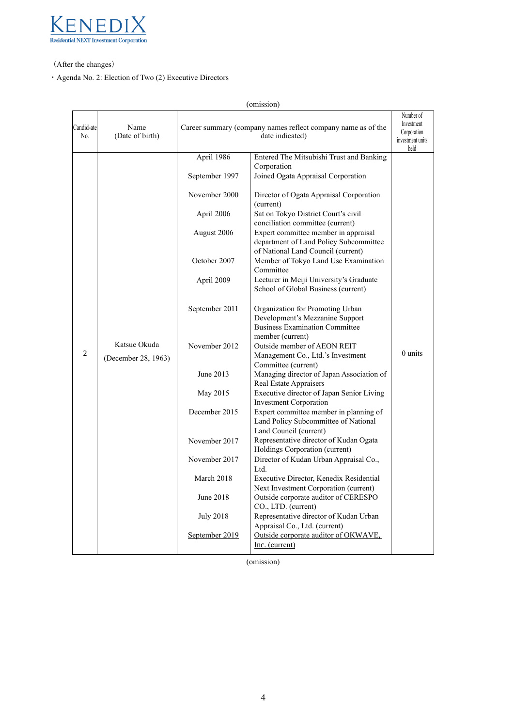

(After the changes)

・Agenda No. 2: Election of Two (2) Executive Directors

|                   |                                     |                                                                                                                                                                                                                                                                                          | (omission)                                                                                                                                                                                                                                                                                                                                                                                                                                                                                                                                                                                                                                                                                                                                                                                                                                                                                                                                                                                                                                                                                                                                                                                                                                                                                                                                                                                                            |                                                                    |
|-------------------|-------------------------------------|------------------------------------------------------------------------------------------------------------------------------------------------------------------------------------------------------------------------------------------------------------------------------------------|-----------------------------------------------------------------------------------------------------------------------------------------------------------------------------------------------------------------------------------------------------------------------------------------------------------------------------------------------------------------------------------------------------------------------------------------------------------------------------------------------------------------------------------------------------------------------------------------------------------------------------------------------------------------------------------------------------------------------------------------------------------------------------------------------------------------------------------------------------------------------------------------------------------------------------------------------------------------------------------------------------------------------------------------------------------------------------------------------------------------------------------------------------------------------------------------------------------------------------------------------------------------------------------------------------------------------------------------------------------------------------------------------------------------------|--------------------------------------------------------------------|
| Candid-ate<br>No. | Name<br>(Date of birth)             |                                                                                                                                                                                                                                                                                          | Career summary (company names reflect company name as of the<br>date indicated)                                                                                                                                                                                                                                                                                                                                                                                                                                                                                                                                                                                                                                                                                                                                                                                                                                                                                                                                                                                                                                                                                                                                                                                                                                                                                                                                       | Number of<br>Investment<br>Corporation<br>investment units<br>held |
| 2                 | Katsue Okuda<br>(December 28, 1963) | April 1986<br>September 1997<br>November 2000<br>April 2006<br>August 2006<br>October 2007<br>April 2009<br>September 2011<br>November 2012<br>June 2013<br>May 2015<br>December 2015<br>November 2017<br>November 2017<br>March 2018<br>June 2018<br><b>July 2018</b><br>September 2019 | Entered The Mitsubishi Trust and Banking<br>Corporation<br>Joined Ogata Appraisal Corporation<br>Director of Ogata Appraisal Corporation<br>(current)<br>Sat on Tokyo District Court's civil<br>conciliation committee (current)<br>Expert committee member in appraisal<br>department of Land Policy Subcommittee<br>of National Land Council (current)<br>Member of Tokyo Land Use Examination<br>Committee<br>Lecturer in Meiji University's Graduate<br>School of Global Business (current)<br>Organization for Promoting Urban<br>Development's Mezzanine Support<br><b>Business Examination Committee</b><br>member (current)<br>Outside member of AEON REIT<br>Management Co., Ltd.'s Investment<br>Committee (current)<br>Managing director of Japan Association of<br>Real Estate Appraisers<br>Executive director of Japan Senior Living<br><b>Investment Corporation</b><br>Expert committee member in planning of<br>Land Policy Subcommittee of National<br>Land Council (current)<br>Representative director of Kudan Ogata<br>Holdings Corporation (current)<br>Director of Kudan Urban Appraisal Co.,<br>Ltd.<br>Executive Director, Kenedix Residential<br>Next Investment Corporation (current)<br>Outside corporate auditor of CERESPO<br>CO., LTD. (current)<br>Representative director of Kudan Urban<br>Appraisal Co., Ltd. (current)<br>Outside corporate auditor of OKWAVE,<br>Inc. (current) | $0$ units                                                          |

(omission)